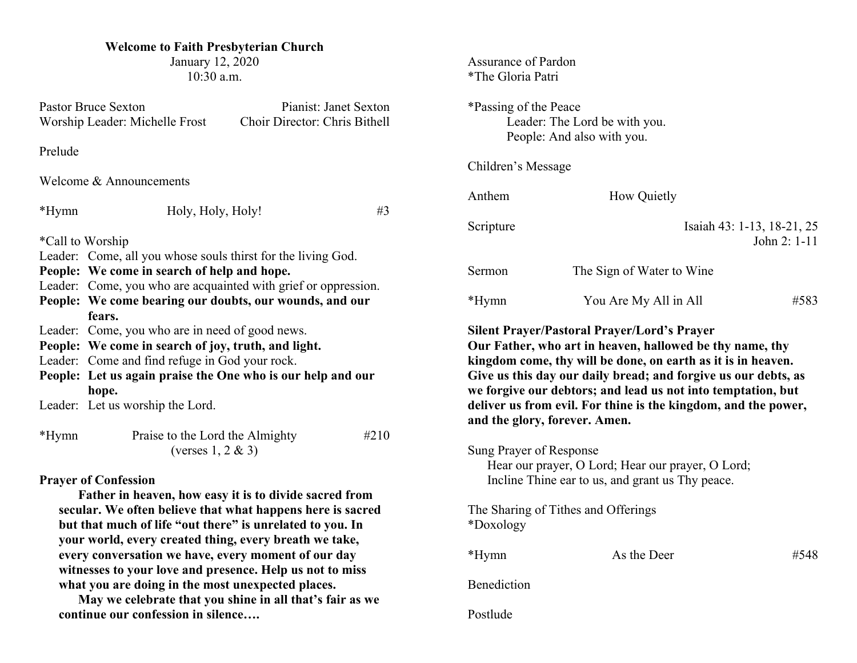## **Welcome to Faith Presbyterian Church**

January 12, 2020 10:30 a.m.

| <b>Pastor Bruce Sexton</b><br>Worship Leader: Michelle Frost                                                                                                                                                                                                                                                                                                                                                                                       |                                                                      | Pianist: Janet Sexton<br>Choir Director: Chris Bithell |      |  |  |
|----------------------------------------------------------------------------------------------------------------------------------------------------------------------------------------------------------------------------------------------------------------------------------------------------------------------------------------------------------------------------------------------------------------------------------------------------|----------------------------------------------------------------------|--------------------------------------------------------|------|--|--|
| Prelude                                                                                                                                                                                                                                                                                                                                                                                                                                            |                                                                      |                                                        |      |  |  |
| Welcome & Announcements                                                                                                                                                                                                                                                                                                                                                                                                                            |                                                                      |                                                        |      |  |  |
| *Hymn                                                                                                                                                                                                                                                                                                                                                                                                                                              | Holy, Holy, Holy!                                                    |                                                        | #3   |  |  |
| *Call to Worship                                                                                                                                                                                                                                                                                                                                                                                                                                   |                                                                      |                                                        |      |  |  |
|                                                                                                                                                                                                                                                                                                                                                                                                                                                    | Leader: Come, all you whose souls thirst for the living God.         |                                                        |      |  |  |
|                                                                                                                                                                                                                                                                                                                                                                                                                                                    | People: We come in search of help and hope.                          |                                                        |      |  |  |
|                                                                                                                                                                                                                                                                                                                                                                                                                                                    | Leader: Come, you who are acquainted with grief or oppression.       |                                                        |      |  |  |
|                                                                                                                                                                                                                                                                                                                                                                                                                                                    | People: We come bearing our doubts, our wounds, and our              |                                                        |      |  |  |
|                                                                                                                                                                                                                                                                                                                                                                                                                                                    | fears.                                                               |                                                        |      |  |  |
|                                                                                                                                                                                                                                                                                                                                                                                                                                                    | Leader: Come, you who are in need of good news.                      |                                                        |      |  |  |
|                                                                                                                                                                                                                                                                                                                                                                                                                                                    | People: We come in search of joy, truth, and light.                  |                                                        |      |  |  |
|                                                                                                                                                                                                                                                                                                                                                                                                                                                    | Leader: Come and find refuge in God your rock.                       |                                                        |      |  |  |
|                                                                                                                                                                                                                                                                                                                                                                                                                                                    | People: Let us again praise the One who is our help and our<br>hope. |                                                        |      |  |  |
|                                                                                                                                                                                                                                                                                                                                                                                                                                                    | Leader: Let us worship the Lord.                                     |                                                        |      |  |  |
| $*Hymn$                                                                                                                                                                                                                                                                                                                                                                                                                                            | Praise to the Lord the Almighty<br>(verses $1, 2 \& 3$ )             |                                                        | #210 |  |  |
| <b>Prayer of Confession</b><br>Father in heaven, how easy it is to divide sacred from<br>secular. We often believe that what happens here is sacred<br>but that much of life "out there" is unrelated to you. In<br>your world, every created thing, every breath we take,<br>every conversation we have, every moment of our day<br>witnesses to your love and presence. Help us not to miss<br>what you are doing in the most unexpected places. |                                                                      |                                                        |      |  |  |

**May we celebrate that you shine in all that's fair as we continue our confession in silence….**

| <b>Assurance of Pardon</b><br>*The Gloria Patri |                                                                                                                                                                                                                                                                                                   |                                            |
|-------------------------------------------------|---------------------------------------------------------------------------------------------------------------------------------------------------------------------------------------------------------------------------------------------------------------------------------------------------|--------------------------------------------|
| *Passing of the Peace                           | Leader: The Lord be with you.<br>People: And also with you.                                                                                                                                                                                                                                       |                                            |
| Children's Message                              |                                                                                                                                                                                                                                                                                                   |                                            |
| Anthem                                          | How Quietly                                                                                                                                                                                                                                                                                       |                                            |
| Scripture                                       |                                                                                                                                                                                                                                                                                                   | Isaiah 43: 1-13, 18-21, 25<br>John 2: 1-11 |
| Sermon                                          | The Sign of Water to Wine                                                                                                                                                                                                                                                                         |                                            |
| *Hymn                                           | You Are My All in All                                                                                                                                                                                                                                                                             | #583                                       |
|                                                 | kingdom come, thy will be done, on earth as it is in heaven.<br>Give us this day our daily bread; and forgive us our debts, as<br>we forgive our debtors; and lead us not into temptation, but<br>deliver us from evil. For thine is the kingdom, and the power,<br>and the glory, forever. Amen. |                                            |
| Sung Prayer of Response                         | Hear our prayer, O Lord; Hear our prayer, O Lord;<br>Incline Thine ear to us, and grant us Thy peace.                                                                                                                                                                                             |                                            |
| *Doxology                                       | The Sharing of Tithes and Offerings                                                                                                                                                                                                                                                               |                                            |
| *Hymn                                           | As the Deer                                                                                                                                                                                                                                                                                       | #548                                       |
| Benediction                                     |                                                                                                                                                                                                                                                                                                   |                                            |
| Postlude                                        |                                                                                                                                                                                                                                                                                                   |                                            |